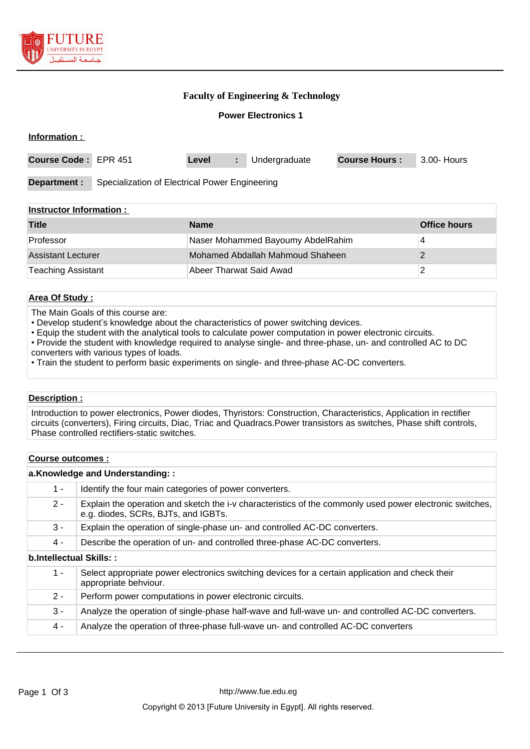

# **Faculty of Engineering & Technology**

**Power Electronics 1**

| Information :                                                  |  |       |    |               |                      |             |
|----------------------------------------------------------------|--|-------|----|---------------|----------------------|-------------|
| Course Code: EPR 451                                           |  | Level | ÷. | Undergraduate | <b>Course Hours:</b> | 3.00- Hours |
| Specialization of Electrical Power Engineering<br>Department : |  |       |    |               |                      |             |
| Instructor Information:                                        |  |       |    |               |                      |             |

| <b>Title</b>              | <b>Name</b>                       | <b>Office hours</b> |
|---------------------------|-----------------------------------|---------------------|
| Professor                 | Naser Mohammed Bayoumy AbdelRahim |                     |
| <b>Assistant Lecturer</b> | Mohamed Abdallah Mahmoud Shaheen  |                     |
| Teaching Assistant        | Abeer Tharwat Said Awad           |                     |

# **Area Of Study :**

The Main Goals of this course are:

- Develop student's knowledge about the characteristics of power switching devices.
- Equip the student with the analytical tools to calculate power computation in power electronic circuits.

• Provide the student with knowledge required to analyse single- and three-phase, un- and controlled AC to DC converters with various types of loads.

• Train the student to perform basic experiments on single- and three-phase AC-DC converters.

## **Description :**

Introduction to power electronics, Power diodes, Thyristors: Construction, Characteristics, Application in rectifier circuits (converters), Firing circuits, Diac, Triac and Quadracs.Power transistors as switches, Phase shift controls, Phase controlled rectifiers-static switches.

#### **Course outcomes :**

| a.Knowledge and Understanding:: |                                                                                                                                                 |  |  |  |
|---------------------------------|-------------------------------------------------------------------------------------------------------------------------------------------------|--|--|--|
| $1 -$                           | Identify the four main categories of power converters.                                                                                          |  |  |  |
| $2 -$                           | Explain the operation and sketch the i-v characteristics of the commonly used power electronic switches,<br>e.g. diodes, SCRs, BJTs, and IGBTs. |  |  |  |
| $3 -$                           | Explain the operation of single-phase un- and controlled AC-DC converters.                                                                      |  |  |  |
| 4 -                             | Describe the operation of un- and controlled three-phase AC-DC converters.                                                                      |  |  |  |
| b.Intellectual Skills::         |                                                                                                                                                 |  |  |  |
| $1 -$                           | Select appropriate power electronics switching devices for a certain application and check their<br>appropriate behviour.                       |  |  |  |
| $2 -$                           | Perform power computations in power electronic circuits.                                                                                        |  |  |  |
| $3 -$                           | Analyze the operation of single-phase half-wave and full-wave un- and controlled AC-DC converters.                                              |  |  |  |
|                                 |                                                                                                                                                 |  |  |  |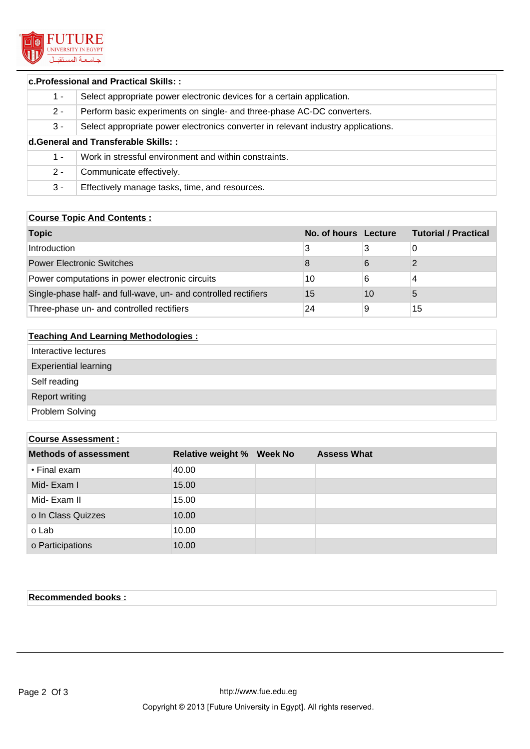

# **c.Professional and Practical Skills: :** 1 - Select appropriate power electronic devices for a certain application. 2 - Perform basic experiments on single- and three-phase AC-DC converters. 3 - Select appropriate power electronics converter in relevant industry applications. **d.General and Transferable Skills: :** 1 - Work in stressful environment and within constraints. 2 - Communicate effectively. 3 - Effectively manage tasks, time, and resources.

## **Course Topic And Contents :**

| <b>Topic</b>                                                    | No. of hours Lecture |    | <b>Tutorial / Practical</b> |
|-----------------------------------------------------------------|----------------------|----|-----------------------------|
| Introduction                                                    |                      |    |                             |
| <b>Power Electronic Switches</b>                                | 8                    | 6  |                             |
| Power computations in power electronic circuits                 | 10                   | 6  | 4                           |
| Single-phase half- and full-wave, un- and controlled rectifiers | 15                   | 10 | 5                           |
| Three-phase un- and controlled rectifiers                       | 24                   | 9  | 15                          |

| <b>Teaching And Learning Methodologies:</b> |  |  |
|---------------------------------------------|--|--|
| Interactive lectures                        |  |  |
| <b>Experiential learning</b>                |  |  |
| Self reading                                |  |  |
| <b>Report writing</b>                       |  |  |
| Problem Solving                             |  |  |

| <b>Course Assessment:</b>    |                          |                |                    |  |
|------------------------------|--------------------------|----------------|--------------------|--|
| <b>Methods of assessment</b> | <b>Relative weight %</b> | <b>Week No</b> | <b>Assess What</b> |  |
| • Final exam                 | 40.00                    |                |                    |  |
| Mid-Exam I                   | 15.00                    |                |                    |  |
| Mid- Exam II                 | 15.00                    |                |                    |  |
| o In Class Quizzes           | 10.00                    |                |                    |  |
| o Lab                        | 10.00                    |                |                    |  |
| o Participations             | 10.00                    |                |                    |  |

## **Recommended books :**